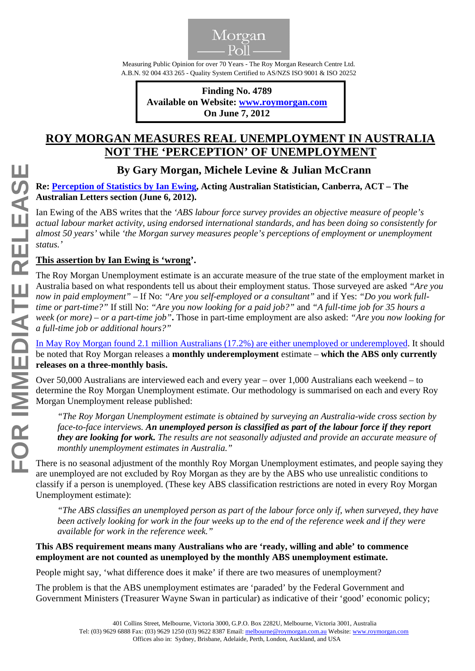

Measuring Public Opinion for over 70 Years - The Roy Morgan Research Centre Ltd. A.B.N. 92 004 433 265 - Quality System Certified to AS/NZS ISO 9001 & ISO 20252

 **Finding No. 4789 Available on Website: www.roymorgan.com On June 7, 2012**

## **ROY MORGAN MEASURES REAL UNEMPLOYMENT IN AUSTRALIA NOT THE 'PERCEPTION' OF UNEMPLOYMENT**

## **By Gary Morgan, Michele Levine & Julian McCrann**

**Re: [Perception of Statistics by Ian Ewing](http://m.theaustralian.com.au/news/opinion/perception-of-statistics/story-fn558imw-1226385327100), Acting Australian Statistician, Canberra, ACT – The Australian Letters section (June 6, 2012).** 

Ian Ewing of the ABS writes that the *'ABS labour force survey provides an objective measure of people's actual labour market activity, using endorsed international standards, and has been doing so consistently for almost 50 years'* while *'the Morgan survey measures people's perceptions of employment or unemployment status.'*

## **This assertion by Ian Ewing is 'wrong'.**

The Roy Morgan Unemployment estimate is an accurate measure of the true state of the employment market in Australia based on what respondents tell us about their employment status. Those surveyed are asked *"Are you now in paid employment"* – If No: *"Are you self-employed or a consultant"* and if Yes: *"Do you work fulltime or part-time?"* If still No: *"Are you now looking for a paid job?"* and *"A full-time job for 35 hours a week (or more) – or a part-time job"***.** Those in part-time employment are also asked: *"Are you now looking for a full-time job or additional hours?"*

[In May Roy Morgan found 2.1 million Australians \(17.2%\) are either unemployed or underemployed.](http://www.roymorgan.com/news/polls/2012/4785) It should be noted that Roy Morgan releases a **monthly underemployment** estimate – **which the ABS only currently releases on a three-monthly basis.** 

Over 50,000 Australians are interviewed each and every year – over 1,000 Australians each weekend – to determine the Roy Morgan Unemployment estimate. Our methodology is summarised on each and every Roy Morgan Unemployment release published:

*"The Roy Morgan Unemployment estimate is obtained by surveying an Australia-wide cross section by face-to-face interviews. An unemployed person is classified as part of the labour force if they report they are looking for work. The results are not seasonally adjusted and provide an accurate measure of monthly unemployment estimates in Australia."* 

There is no seasonal adjustment of the monthly Roy Morgan Unemployment estimates, and people saying they are unemployed are not excluded by Roy Morgan as they are by the ABS who use unrealistic conditions to classify if a person is unemployed. (These key ABS classification restrictions are noted in every Roy Morgan Unemployment estimate):

*"The ABS classifies an unemployed person as part of the labour force only if, when surveyed, they have been actively looking for work in the four weeks up to the end of the reference week and if they were available for work in the reference week."*

## **This ABS requirement means many Australians who are 'ready, willing and able' to commence employment are not counted as unemployed by the monthly ABS unemployment estimate.**

People might say, 'what difference does it make' if there are two measures of unemployment?

The problem is that the ABS unemployment estimates are 'paraded' by the Federal Government and Government Ministers (Treasurer Wayne Swan in particular) as indicative of their 'good' economic policy;